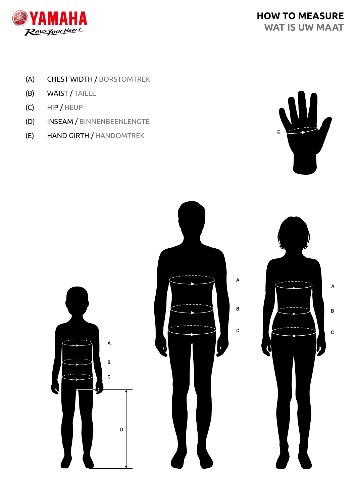

- (A) CHEST WIDTH / BORSTOMTREK
- (B) WAIST / TAILLE
- (C) HIP / HEUP
- (D) INSEAM / BINNENBEENLENGTE
- (E) HAND GIRTH / HANDOMTREK



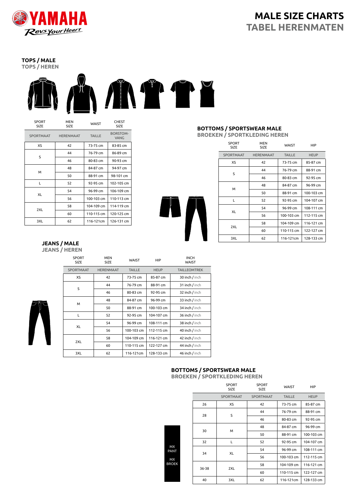

# **MALE SIZE CHARTS TABEL HERENMATEN**

**TOPS / MALE TOPS / HEREN**



|   | <b>SPORT</b><br><b>SIZE</b> | MEN<br>SIZE      | <b>WAIST</b>  | <b>CHEST</b><br><b>SIZE</b>    |  |
|---|-----------------------------|------------------|---------------|--------------------------------|--|
|   | <b>SPORTMAAT</b>            | <b>HERENMAAT</b> | <b>TAILLE</b> | <b>BORSTOM-</b><br><b>VANG</b> |  |
|   | XS                          | 42               | 73-75 cm      | 83-85 cm                       |  |
|   | 44                          |                  | 76-79 cm      | 86-89 cm                       |  |
|   |                             | S<br>46          | 80-83 cm      | 90-93 cm                       |  |
| м |                             | 48               | 84-87 cm      | 94-97 cm                       |  |
|   | 50                          | 88-91 cm         | 98-101 cm     |                                |  |
|   | 52<br>L                     |                  | 92-95 cm      | 102-105 cm                     |  |
|   | XL                          | 54               | 96-99 cm      | 106-109 cm                     |  |
|   |                             | 56               | 100-103 cm    | 110-113 cm                     |  |
|   |                             | 58               | 104-109 cm    | 114-119 cm                     |  |
|   | 2XL                         | 60               | 110-115 cm    | 120-125 cm                     |  |
|   | 62<br>3XL                   |                  | 116-121cm     | 126-131 cm                     |  |

#### **BOTTOMS / SPORTSWEAR MALE BROEKEN / SPORTKLEDING HEREN**

| <b>SPORT</b><br><b>SIZE</b> | MEN<br><b>SIZE</b> | WAIST         | HIP         |
|-----------------------------|--------------------|---------------|-------------|
| <b>SPORTMAAT</b>            | <b>HERENMAAT</b>   | <b>TAILLE</b> | <b>HEUP</b> |
| XS                          | 42                 | 73-75 cm      | 85-87 cm    |
| S                           | 44                 | 76-79 cm      | 88-91 cm    |
|                             | 46                 | 80-83 cm      | 92-95 cm    |
|                             | 48                 | 84-87 cm      | 96-99 cm    |
| M                           | 50                 | 88-91 cm      | 100-103 cm  |
| L                           | 52                 |               | 104-107 cm  |
| XL                          | 54                 | 96-99 cm      | 108-111 cm  |
|                             | 56                 | 100-103 cm    | 112-115 cm  |
|                             | 58                 | 104-109 cm    | 116-121 cm  |
| 2XL                         | 60                 | 110-115 cm    | 122-127 cm  |
| 3XL                         | 62                 |               | 128-133 cm  |

**JEANS / MALE JEANS / HEREN**

|  | <b>SPORT</b><br><b>SIZE</b> | <b>MEN</b><br><b>SIZE</b> | <b>WAIST</b>  | HIP         | <b>INCH</b><br><b>WAIST</b> |
|--|-----------------------------|---------------------------|---------------|-------------|-----------------------------|
|  | <b>SPORTMAAT</b>            | <b>HERENMAAT</b>          | <b>TAILLE</b> | <b>HEUP</b> | <b>TAILLEOMTREK</b>         |
|  | XS                          | 42                        | 73-75 cm      | 85-87 cm    | 30 inch / inch              |
|  | S                           | 44                        | 76-79 cm      | 88-91 cm    | 31 inch / inch              |
|  |                             | 46                        | 80-83 cm      | 92-95 cm    | 32 inch / inch              |
|  | M                           | 48                        | 84-87 cm      | 96-99 cm    | 33 inch / inch              |
|  |                             | 50                        | 88-91 cm      | 100-103 cm  | 34 inch / inch              |
|  | L                           | 52                        | 92-95 cm      | 104-107 cm  | 36 inch / inch              |
|  | XL                          | 54                        | 96-99 cm      | 108-111 cm  | 38 inch / inch              |
|  |                             | 56                        | 100-103 cm    | 112-115 cm  | 40 inch / inch              |
|  |                             | 58                        | 104-109 cm    | 116-121 cm  | 42 inch / inch              |
|  | 2XL                         | 60                        | 110-115 cm    | 122-127 cm  | 44 inch / inch              |
|  | 3XL                         | 62                        | 116-121cm     | 128-133 cm  | 46 inch / inch              |
|  |                             |                           |               |             |                             |

### **BOTTOMS / SPORTSWEAR MALE**

**BROEKEN / SPORTKLEDING HEREN**

|       | <b>SPORT</b><br>SIZE | <b>SPORT</b><br>SIZE | <b>WAIST</b>  | HIP         |
|-------|----------------------|----------------------|---------------|-------------|
|       | <b>SPORTMAAT</b>     | <b>SPORTMAAT</b>     | <b>TAILLE</b> | <b>HEUP</b> |
| 26    | XS                   | 42                   | 73-75 cm      | 85-87 cm    |
| 28    | S                    | 44                   | 76-79 cm      | 88-91 cm    |
|       |                      | 46                   | 80-83 cm      | 92-95 cm    |
|       |                      | 48                   | 84-87 cm      | 96-99 cm    |
| 30    | м                    | 50                   | 88-91 cm      | 100-103 cm  |
| 32    | L                    | 52                   | 92-95 cm      | 104-107 cm  |
|       |                      | 54                   | 96-99 cm      | 108-111 cm  |
| 34    | XL                   | 56                   | 100-103 cm    | 112-115 cm  |
| 36-38 | 2XL                  | 58                   | 104-109 cm    | 116-121 cm  |
|       |                      | 60                   | 110-115 cm    | 122-127 cm  |
| 40    | 3XL                  | 62                   | 116-121cm     | 128-133 cm  |

MX PANT MX BROEK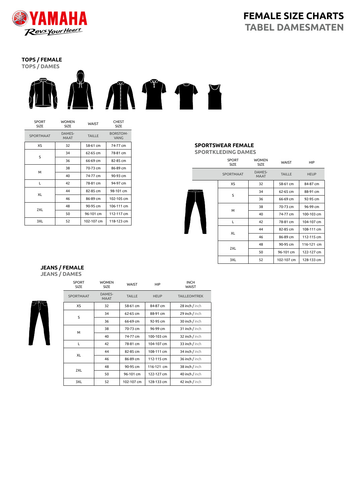

# **FEMALE SIZE CHARTS TABEL DAMESMATEN**

# **TOPS / FEMALE**



| <b>SPORT</b><br><b>SIZE</b> | <b>WOMEN</b><br><b>WAIST</b><br><b>SIZE</b> |               | <b>CHEST</b><br><b>SIZE</b>    |  |
|-----------------------------|---------------------------------------------|---------------|--------------------------------|--|
| SPORTMAAT                   | DAMES-<br><b>MAAT</b>                       | <b>TAILLE</b> | <b>BORSTOM-</b><br><b>VANG</b> |  |
| XS                          | 32                                          | 58-61 cm      | 74-77 cm                       |  |
| S                           | 34                                          | 62-65 cm      | 78-81 cm                       |  |
|                             | 36                                          | 66-69 cm      | 82-85 cm                       |  |
|                             | 38                                          | 70-73 cm      | 86-89 cm                       |  |
|                             | м<br>40                                     | 74-77 cm      | 90-93 cm                       |  |
| L                           | 42                                          | 78-81 cm      | 94-97 cm                       |  |
|                             | 44                                          | 82-85 cm      | 98-101 cm                      |  |
| XL                          | 46                                          | 86-89 cm      | 102-105 cm                     |  |
|                             | 48                                          | 90-95 cm      | 106-111 cm                     |  |
| 2XL                         | 50                                          | 96-101 cm     | 112-117 cm                     |  |
| 3XL                         | 52                                          | 102-107 cm    | 118-123 cm                     |  |

## **SPORTSWEAR FEMALE**

**SPORTKLEDING DAMES**

|  | <b>SPORT</b><br><b>SIZE</b> | <b>WOMEN</b><br><b>SIZE</b> | <b>WAIST</b>  | HIP         |
|--|-----------------------------|-----------------------------|---------------|-------------|
|  | <b>SPORTMAAT</b>            | DAMES-<br><b>MAAT</b>       | <b>TAILLE</b> | <b>HEUP</b> |
|  | XS                          | 32                          | 58-61 cm      | 84-87 cm    |
|  | S                           | 34                          | 62-65 cm      | 88-91 cm    |
|  |                             | 36                          | 66-69 cm      | 92-95 cm    |
|  | м                           | 38                          | 70-73 cm      | 96-99 cm    |
|  |                             | 40                          | 74-77 cm      | 100-103 cm  |
|  | L                           | 42                          | 78-81 cm      | 104-107 cm  |
|  | XL                          | 44                          | 82-85 cm      | 108-111 cm  |
|  |                             | 46                          | 86-89 cm      | 112-115 cm  |
|  | 2XL                         | 48                          | 90-95 cm      | 116-121 cm  |
|  |                             | 50                          | 96-101 cm     | 122-127 cm  |
|  | 3XL                         | 52                          | 102-107 cm    | 128-133 cm  |

#### **JEANS / FEMALE JEANS / DAMES**



| <b>SPORT</b><br><b>SIZE</b> | <b>WOMEN</b><br><b>SIZE</b> | <b>WAIST</b>  | <b>HIP</b>  | <b>INCH</b><br><b>WAIST</b> |  |
|-----------------------------|-----------------------------|---------------|-------------|-----------------------------|--|
| <b>SPORTMAAT</b>            | DAMES-<br><b>MAAT</b>       | <b>TAILLE</b> | <b>HEUP</b> | <b>TAILLEOMTREK</b>         |  |
| XS                          | 32                          | 58-61 cm      | 84-87 cm    | 28 inch / inch              |  |
| S                           | 34                          | 62-65 cm      | 88-91 cm    | 29 inch / inch              |  |
|                             | 36                          | 66-69 cm      | 92-95 cm    | 30 inch / inch              |  |
|                             | 38                          | 70-73 cm      | 96-99 cm    | 31 inch / inch              |  |
| м                           | 40                          | 74-77 cm      | 100-103 cm  | 32 inch / inch              |  |
| L                           | 42                          | 78-81 cm      | 104-107 cm  | 33 inch / inch              |  |
| XL                          | 44                          | 82-85 cm      | 108-111 cm  | 34 inch / inch              |  |
|                             | 46                          | 86-89 cm      | 112-115 cm  | 36 inch / inch              |  |
| 2XL                         | 48                          | 90-95 cm      | 116-121 cm  | 38 inch / inch              |  |
|                             | 50                          | 96-101 cm     | 122-127 cm  | 40 inch / inch              |  |
| 3XL                         | 52                          | 102-107 cm    | 128-133 cm  | 42 inch / inch              |  |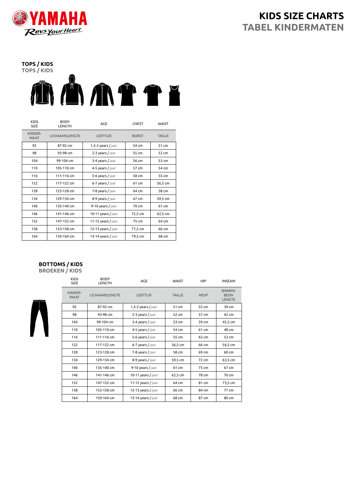

**TOPS / KIDS**



| <b>KIDS</b><br><b>SIZE</b> | <b>BODY</b><br>LENGTH | AGE                  | <b>CHEST</b> | <b>WAIST</b>  |
|----------------------------|-----------------------|----------------------|--------------|---------------|
| KINDER-<br><b>MAAT</b>     | LICHAAMSLENGTE        | <b>LEEFTIJD</b>      | <b>BORST</b> | <b>TAILLE</b> |
| 92                         | 87-92 cm              | $1,5-2$ years / jaar | 54 cm        | 51 cm         |
| 98                         | 93-98 cm              | 2-3 years / jaar     | 55 cm        | 52 cm         |
| 104                        | 99-104 cm             | 3-4 years / jaar     | 56 cm        | 53 cm         |
| 110                        | 105-110 cm            | 4-5 years / jaar     | 57 cm        | 54 cm         |
| 116                        | 111-116 cm            | 5-6 years / jaar     | 58 cm        | 55 cm         |
| 122                        | 117-122 cm            | 6-7 years / jaar     | 61 cm        | 56,5 cm       |
| 128                        | 123-128 cm            | 7-8 years / jaar     | 64 cm        | 58 cm         |
| 134                        | 129-134 cm            | 8-9 years / jaar     | 67 cm        | 59,5 cm       |
| 140                        | 135-140 cm            | 9-10 years / jaar    | 70 cm        | 61 cm         |
| 146                        | 141-146 cm            | 10-11 years / jaar   | 72,5 cm      | 62,5 cm       |
| 152                        | 147-152 cm            | 11-12 years / jaar   | 75 cm        | 64 cm         |
| 158                        | 153-158 cm            | 12-13 years / jaar   | 77,5 cm      | 66 cm         |
| 164                        | 159-164 cm            | 13-14 years / jaar   | 79,5 cm      | 68 cm         |

## **BOTTOMS / KIDS**

**BROEKEN / KIDS**



| <b>KIDS</b><br>SIZE    | <b>BODY</b><br><b>LENGTH</b> | AGE                | <b>WAIST</b>  | HIP         | <b>INSEAM</b>                                   |
|------------------------|------------------------------|--------------------|---------------|-------------|-------------------------------------------------|
| KINDER-<br><b>MAAT</b> | LICHAAMSLENGTE               | LEEFTIJD           | <b>TAILLE</b> | <b>HEUP</b> | <b>BINNEN-</b><br><b>BEEN-</b><br><b>LENGTE</b> |
| 92                     | 87-92 cm                     | 1,5-2 years / jaar | 51 cm         | 55 cm       | 39 cm                                           |
| 98                     | 93-98 cm                     | 2-3 years / jaar   | 52 cm         | 57 cm       | 42 cm                                           |
| 104                    | 99-104 cm                    | 3-4 years / jaar   | 53 cm         | 59 cm       | 45,5 cm                                         |
| 110                    | 105-110 cm                   | 4-5 years / jaar   | 54 cm         | 61 cm       | 48 cm                                           |
| 116                    | 111-116 cm                   | 5-6 years / jaar   | 55 cm         | 63 cm       | 53 cm                                           |
| 122                    | 117-122 cm                   | 6-7 years / jaar   | 56,5 cm       | 66 cm       | 56,5 cm                                         |
| 128                    | 123-128 cm                   | 7-8 years / jaar   | 58 cm         | 69 cm       | 60 cm                                           |
| 134                    | 129-134 cm                   | 8-9 years / jaar   | 59,5 cm       | 72 cm       | 63,5 cm                                         |
| 140                    | 135-140 cm                   | 9-10 years / jaar  | 61 cm         | 75 cm       | 67 cm                                           |
| 146                    | 141-146 cm                   | 10-11 years / jaar | 62,5 cm       | 78 cm       | 70 cm                                           |
| 152                    | 147-152 cm                   | 11-12 years / jaar | 64 cm         | 81 cm       | 73,5 cm                                         |
| 158                    | 153-158 cm                   | 12-13 years / jaar | 66 cm         | 84 cm       | 77 cm                                           |
| 164                    | 159-164 cm                   | 13-14 years / jaar | 68 cm         | 87 cm       | 80 cm                                           |